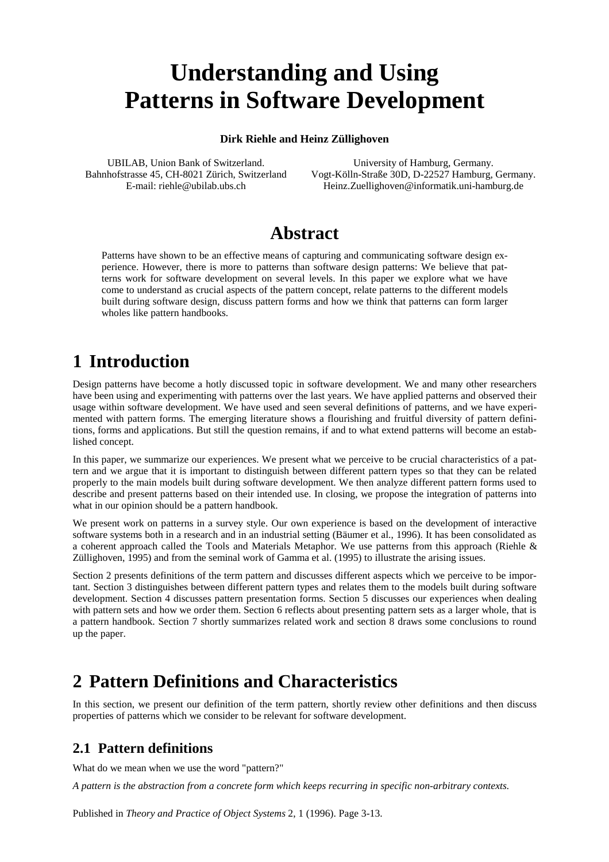# **Understanding and Using Patterns in Software Development**

#### **Dirk Riehle and Heinz Züllighoven**

UBILAB, Union Bank of Switzerland. Bahnhofstrasse 45, CH-8021 Zürich, Switzerland E-mail: riehle@ubilab.ubs.ch

University of Hamburg, Germany. Vogt-Kölln-Straße 30D, D-22527 Hamburg, Germany. Heinz.Zuellighoven@informatik.uni-hamburg.de

### **Abstract**

Patterns have shown to be an effective means of capturing and communicating software design experience. However, there is more to patterns than software design patterns: We believe that patterns work for software development on several levels. In this paper we explore what we have come to understand as crucial aspects of the pattern concept, relate patterns to the different models built during software design, discuss pattern forms and how we think that patterns can form larger wholes like pattern handbooks.

## **1 Introduction**

Design patterns have become a hotly discussed topic in software development. We and many other researchers have been using and experimenting with patterns over the last years. We have applied patterns and observed their usage within software development. We have used and seen several definitions of patterns, and we have experimented with pattern forms. The emerging literature shows a flourishing and fruitful diversity of pattern definitions, forms and applications. But still the question remains, if and to what extend patterns will become an established concept.

In this paper, we summarize our experiences. We present what we perceive to be crucial characteristics of a pattern and we argue that it is important to distinguish between different pattern types so that they can be related properly to the main models built during software development. We then analyze different pattern forms used to describe and present patterns based on their intended use. In closing, we propose the integration of patterns into what in our opinion should be a pattern handbook.

We present work on patterns in a survey style. Our own experience is based on the development of interactive software systems both in a research and in an industrial setting (Bäumer et al., 1996). It has been consolidated as a coherent approach called the Tools and Materials Metaphor. We use patterns from this approach (Riehle & Züllighoven, 1995) and from the seminal work of Gamma et al. (1995) to illustrate the arising issues.

Section 2 presents definitions of the term pattern and discusses different aspects which we perceive to be important. Section 3 distinguishes between different pattern types and relates them to the models built during software development. Section 4 discusses pattern presentation forms. Section 5 discusses our experiences when dealing with pattern sets and how we order them. Section 6 reflects about presenting pattern sets as a larger whole, that is a pattern handbook. Section 7 shortly summarizes related work and section 8 draws some conclusions to round up the paper.

## **2 Pattern Definitions and Characteristics**

In this section, we present our definition of the term pattern, shortly review other definitions and then discuss properties of patterns which we consider to be relevant for software development.

### **2.1 Pattern definitions**

What do we mean when we use the word "pattern?"

*A pattern is the abstraction from a concrete form which keeps recurring in specific non-arbitrary contexts.*

Published in *Theory and Practice of Object Systems* 2, 1 (1996). Page 3-13.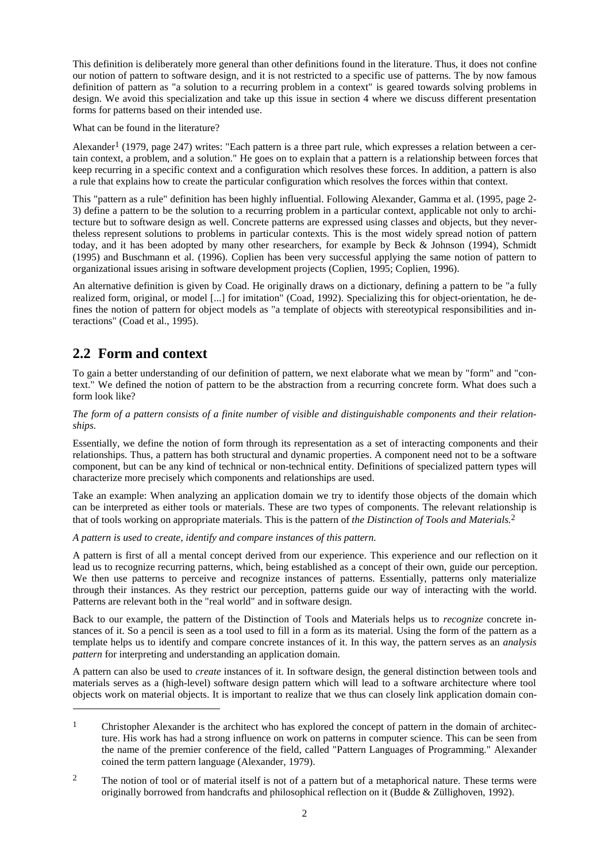This definition is deliberately more general than other definitions found in the literature. Thus, it does not confine our notion of pattern to software design, and it is not restricted to a specific use of patterns. The by now famous definition of pattern as "a solution to a recurring problem in a context" is geared towards solving problems in design. We avoid this specialization and take up this issue in section 4 where we discuss different presentation forms for patterns based on their intended use.

What can be found in the literature?

Alexander<sup>1</sup> (1979, page 247) writes: "Each pattern is a three part rule, which expresses a relation between a certain context, a problem, and a solution." He goes on to explain that a pattern is a relationship between forces that keep recurring in a specific context and a configuration which resolves these forces. In addition, a pattern is also a rule that explains how to create the particular configuration which resolves the forces within that context.

This "pattern as a rule" definition has been highly influential. Following Alexander, Gamma et al. (1995, page 2- 3) define a pattern to be the solution to a recurring problem in a particular context, applicable not only to architecture but to software design as well. Concrete patterns are expressed using classes and objects, but they nevertheless represent solutions to problems in particular contexts. This is the most widely spread notion of pattern today, and it has been adopted by many other researchers, for example by Beck & Johnson (1994), Schmidt (1995) and Buschmann et al. (1996). Coplien has been very successful applying the same notion of pattern to organizational issues arising in software development projects (Coplien, 1995; Coplien, 1996).

An alternative definition is given by Coad. He originally draws on a dictionary, defining a pattern to be "a fully realized form, original, or model [...] for imitation" (Coad, 1992). Specializing this for object-orientation, he defines the notion of pattern for object models as "a template of objects with stereotypical responsibilities and interactions" (Coad et al., 1995).

### **2.2 Form and context**

 $\overline{a}$ 

To gain a better understanding of our definition of pattern, we next elaborate what we mean by "form" and "context." We defined the notion of pattern to be the abstraction from a recurring concrete form. What does such a form look like?

*The form of a pattern consists of a finite number of visible and distinguishable components and their relationships.*

Essentially, we define the notion of form through its representation as a set of interacting components and their relationships. Thus, a pattern has both structural and dynamic properties. A component need not to be a software component, but can be any kind of technical or non-technical entity. Definitions of specialized pattern types will characterize more precisely which components and relationships are used.

Take an example: When analyzing an application domain we try to identify those objects of the domain which can be interpreted as either tools or materials. These are two types of components. The relevant relationship is that of tools working on appropriate materials. This is the pattern of *the Distinction of Tools and Materials.*2

*A pattern is used to create, identify and compare instances of this pattern.*

A pattern is first of all a mental concept derived from our experience. This experience and our reflection on it lead us to recognize recurring patterns, which, being established as a concept of their own, guide our perception. We then use patterns to perceive and recognize instances of patterns. Essentially, patterns only materialize through their instances. As they restrict our perception, patterns guide our way of interacting with the world. Patterns are relevant both in the "real world" and in software design.

Back to our example, the pattern of the Distinction of Tools and Materials helps us to *recognize* concrete instances of it. So a pencil is seen as a tool used to fill in a form as its material. Using the form of the pattern as a template helps us to identify and compare concrete instances of it. In this way, the pattern serves as an *analysis pattern* for interpreting and understanding an application domain.

A pattern can also be used to *create* instances of it. In software design, the general distinction between tools and materials serves as a (high-level) software design pattern which will lead to a software architecture where tool objects work on material objects. It is important to realize that we thus can closely link application domain con-

<sup>&</sup>lt;sup>1</sup> Christopher Alexander is the architect who has explored the concept of pattern in the domain of architecture. His work has had a strong influence on work on patterns in computer science. This can be seen from the name of the premier conference of the field, called "Pattern Languages of Programming." Alexander coined the term pattern language (Alexander, 1979).

<sup>&</sup>lt;sup>2</sup> The notion of tool or of material itself is not of a pattern but of a metaphorical nature. These terms were originally borrowed from handcrafts and philosophical reflection on it (Budde & Züllighoven, 1992).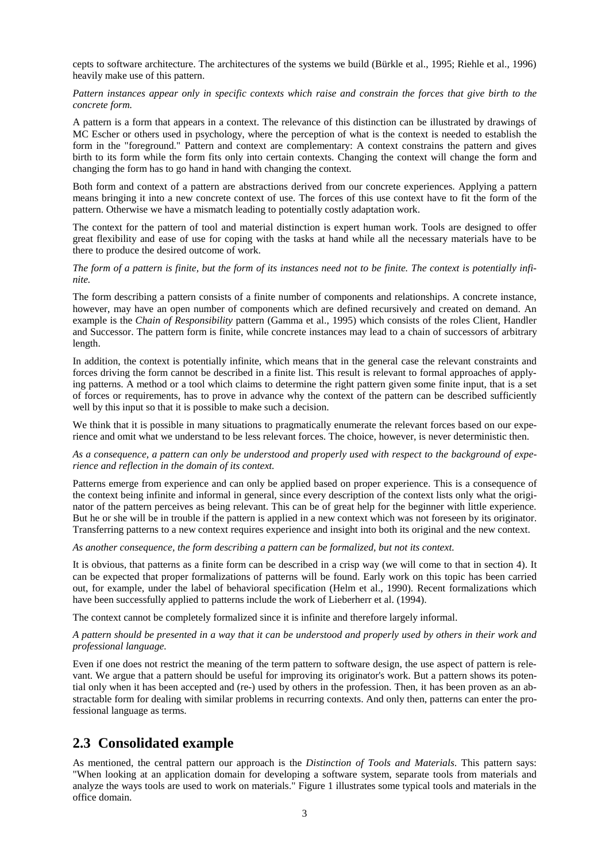cepts to software architecture. The architectures of the systems we build (Bürkle et al., 1995; Riehle et al., 1996) heavily make use of this pattern.

*Pattern instances appear only in specific contexts which raise and constrain the forces that give birth to the concrete form.*

A pattern is a form that appears in a context. The relevance of this distinction can be illustrated by drawings of MC Escher or others used in psychology, where the perception of what is the context is needed to establish the form in the "foreground." Pattern and context are complementary: A context constrains the pattern and gives birth to its form while the form fits only into certain contexts. Changing the context will change the form and changing the form has to go hand in hand with changing the context.

Both form and context of a pattern are abstractions derived from our concrete experiences. Applying a pattern means bringing it into a new concrete context of use. The forces of this use context have to fit the form of the pattern. Otherwise we have a mismatch leading to potentially costly adaptation work.

The context for the pattern of tool and material distinction is expert human work. Tools are designed to offer great flexibility and ease of use for coping with the tasks at hand while all the necessary materials have to be there to produce the desired outcome of work.

#### *The form of a pattern is finite, but the form of its instances need not to be finite. The context is potentially infinite.*

The form describing a pattern consists of a finite number of components and relationships. A concrete instance, however, may have an open number of components which are defined recursively and created on demand. An example is the *Chain of Responsibility* pattern (Gamma et al., 1995) which consists of the roles Client, Handler and Successor. The pattern form is finite, while concrete instances may lead to a chain of successors of arbitrary length.

In addition, the context is potentially infinite, which means that in the general case the relevant constraints and forces driving the form cannot be described in a finite list. This result is relevant to formal approaches of applying patterns. A method or a tool which claims to determine the right pattern given some finite input, that is a set of forces or requirements, has to prove in advance why the context of the pattern can be described sufficiently well by this input so that it is possible to make such a decision.

We think that it is possible in many situations to pragmatically enumerate the relevant forces based on our experience and omit what we understand to be less relevant forces. The choice, however, is never deterministic then.

*As a consequence, a pattern can only be understood and properly used with respect to the background of experience and reflection in the domain of its context.*

Patterns emerge from experience and can only be applied based on proper experience. This is a consequence of the context being infinite and informal in general, since every description of the context lists only what the originator of the pattern perceives as being relevant. This can be of great help for the beginner with little experience. But he or she will be in trouble if the pattern is applied in a new context which was not foreseen by its originator. Transferring patterns to a new context requires experience and insight into both its original and the new context.

#### *As another consequence, the form describing a pattern can be formalized, but not its context.*

It is obvious, that patterns as a finite form can be described in a crisp way (we will come to that in section 4). It can be expected that proper formalizations of patterns will be found. Early work on this topic has been carried out, for example, under the label of behavioral specification (Helm et al., 1990). Recent formalizations which have been successfully applied to patterns include the work of Lieberherr et al. (1994).

The context cannot be completely formalized since it is infinite and therefore largely informal.

#### *A pattern should be presented in a way that it can be understood and properly used by others in their work and professional language.*

Even if one does not restrict the meaning of the term pattern to software design, the use aspect of pattern is relevant. We argue that a pattern should be useful for improving its originator's work. But a pattern shows its potential only when it has been accepted and (re-) used by others in the profession. Then, it has been proven as an abstractable form for dealing with similar problems in recurring contexts. And only then, patterns can enter the professional language as terms.

#### **2.3 Consolidated example**

As mentioned, the central pattern our approach is the *Distinction of Tools and Materials*. This pattern says: "When looking at an application domain for developing a software system, separate tools from materials and analyze the ways tools are used to work on materials." Figure 1 illustrates some typical tools and materials in the office domain.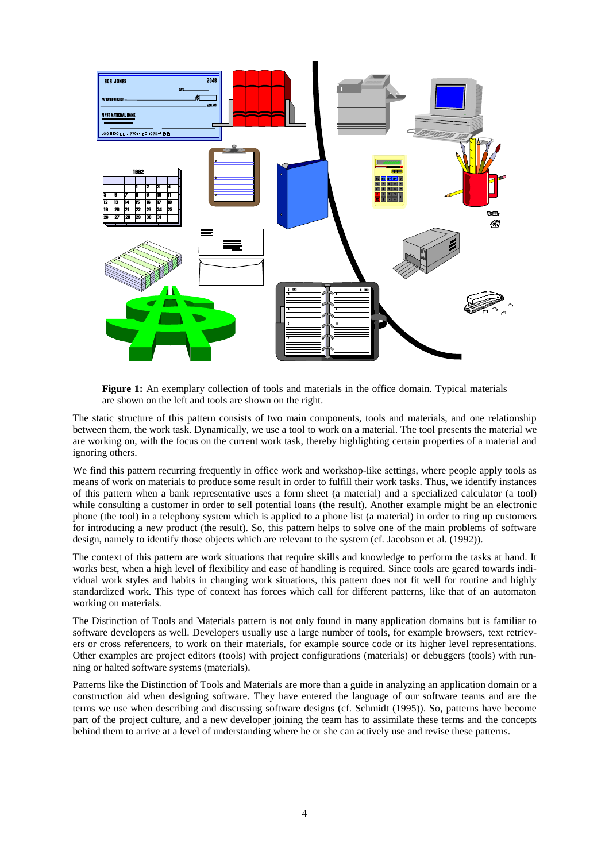

**Figure 1:** An exemplary collection of tools and materials in the office domain. Typical materials are shown on the left and tools are shown on the right.

The static structure of this pattern consists of two main components, tools and materials, and one relationship between them, the work task. Dynamically, we use a tool to work on a material. The tool presents the material we are working on, with the focus on the current work task, thereby highlighting certain properties of a material and ignoring others.

We find this pattern recurring frequently in office work and workshop-like settings, where people apply tools as means of work on materials to produce some result in order to fulfill their work tasks. Thus, we identify instances of this pattern when a bank representative uses a form sheet (a material) and a specialized calculator (a tool) while consulting a customer in order to sell potential loans (the result). Another example might be an electronic phone (the tool) in a telephony system which is applied to a phone list (a material) in order to ring up customers for introducing a new product (the result). So, this pattern helps to solve one of the main problems of software design, namely to identify those objects which are relevant to the system (cf. Jacobson et al. (1992)).

The context of this pattern are work situations that require skills and knowledge to perform the tasks at hand. It works best, when a high level of flexibility and ease of handling is required. Since tools are geared towards individual work styles and habits in changing work situations, this pattern does not fit well for routine and highly standardized work. This type of context has forces which call for different patterns, like that of an automaton working on materials.

The Distinction of Tools and Materials pattern is not only found in many application domains but is familiar to software developers as well. Developers usually use a large number of tools, for example browsers, text retrievers or cross referencers, to work on their materials, for example source code or its higher level representations. Other examples are project editors (tools) with project configurations (materials) or debuggers (tools) with running or halted software systems (materials).

Patterns like the Distinction of Tools and Materials are more than a guide in analyzing an application domain or a construction aid when designing software. They have entered the language of our software teams and are the terms we use when describing and discussing software designs (cf. Schmidt (1995)). So, patterns have become part of the project culture, and a new developer joining the team has to assimilate these terms and the concepts behind them to arrive at a level of understanding where he or she can actively use and revise these patterns.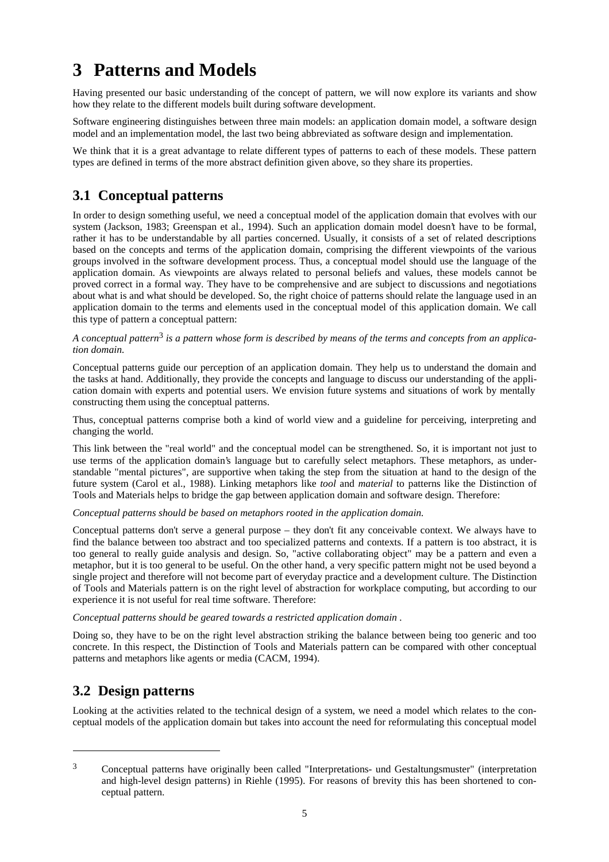## **3 Patterns and Models**

Having presented our basic understanding of the concept of pattern, we will now explore its variants and show how they relate to the different models built during software development.

Software engineering distinguishes between three main models: an application domain model, a software design model and an implementation model, the last two being abbreviated as software design and implementation.

We think that it is a great advantage to relate different types of patterns to each of these models. These pattern types are defined in terms of the more abstract definition given above, so they share its properties.

### **3.1 Conceptual patterns**

In order to design something useful, we need a conceptual model of the application domain that evolves with our system (Jackson, 1983; Greenspan et al., 1994). Such an application domain model doesn't have to be formal, rather it has to be understandable by all parties concerned. Usually, it consists of a set of related descriptions based on the concepts and terms of the application domain, comprising the different viewpoints of the various groups involved in the software development process. Thus, a conceptual model should use the language of the application domain. As viewpoints are always related to personal beliefs and values, these models cannot be proved correct in a formal way. They have to be comprehensive and are subject to discussions and negotiations about what is and what should be developed. So, the right choice of patterns should relate the language used in an application domain to the terms and elements used in the conceptual model of this application domain. We call this type of pattern a conceptual pattern:

#### *A conceptual pattern*3 *is a pattern whose form is described by means of the terms and concepts from an application domain.*

Conceptual patterns guide our perception of an application domain. They help us to understand the domain and the tasks at hand. Additionally, they provide the concepts and language to discuss our understanding of the application domain with experts and potential users. We envision future systems and situations of work by mentally constructing them using the conceptual patterns.

Thus, conceptual patterns comprise both a kind of world view and a guideline for perceiving, interpreting and changing the world.

This link between the "real world" and the conceptual model can be strengthened. So, it is important not just to use terms of the application domain's language but to carefully select metaphors. These metaphors, as understandable "mental pictures", are supportive when taking the step from the situation at hand to the design of the future system (Carol et al., 1988). Linking metaphors like *tool* and *material* to patterns like the Distinction of Tools and Materials helps to bridge the gap between application domain and software design. Therefore:

*Conceptual patterns should be based on metaphors rooted in the application domain.*

Conceptual patterns don't serve a general purpose – they don't fit any conceivable context. We always have to find the balance between too abstract and too specialized patterns and contexts. If a pattern is too abstract, it is too general to really guide analysis and design. So, "active collaborating object" may be a pattern and even a metaphor, but it is too general to be useful. On the other hand, a very specific pattern might not be used beyond a single project and therefore will not become part of everyday practice and a development culture. The Distinction of Tools and Materials pattern is on the right level of abstraction for workplace computing, but according to our experience it is not useful for real time software. Therefore:

*Conceptual patterns should be geared towards a restricted application domain .*

Doing so, they have to be on the right level abstraction striking the balance between being too generic and too concrete. In this respect, the Distinction of Tools and Materials pattern can be compared with other conceptual patterns and metaphors like agents or media (CACM, 1994).

### **3.2 Design patterns**

j

Looking at the activities related to the technical design of a system, we need a model which relates to the conceptual models of the application domain but takes into account the need for reformulating this conceptual model

<sup>3</sup> Conceptual patterns have originally been called "Interpretations- und Gestaltungsmuster" (interpretation and high-level design patterns) in Riehle (1995). For reasons of brevity this has been shortened to conceptual pattern.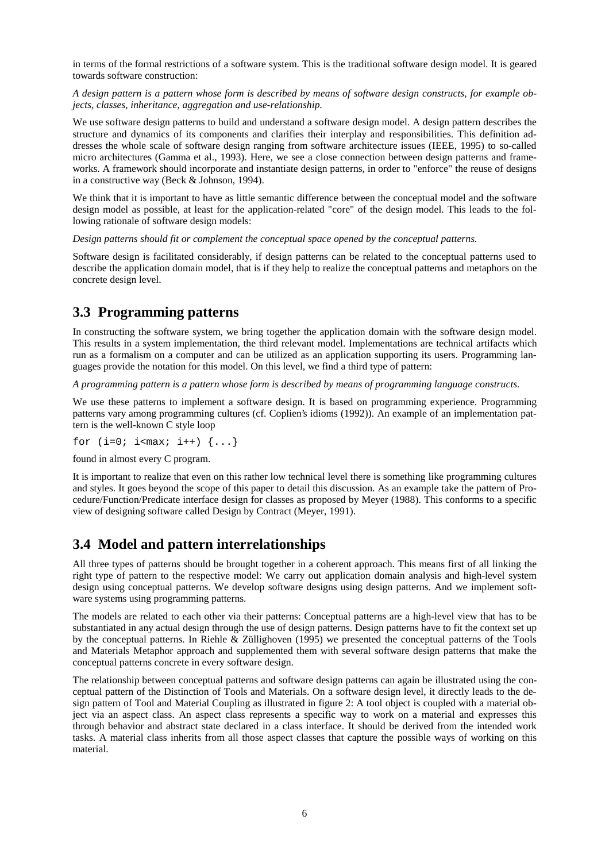in terms of the formal restrictions of a software system. This is the traditional software design model. It is geared towards software construction:

*A design pattern is a pattern whose form is described by means of software design constructs, for example objects, classes, inheritance, aggregation and use-relationship.*

We use software design patterns to build and understand a software design model. A design pattern describes the structure and dynamics of its components and clarifies their interplay and responsibilities. This definition addresses the whole scale of software design ranging from software architecture issues (IEEE, 1995) to so-called micro architectures (Gamma et al., 1993). Here, we see a close connection between design patterns and frameworks. A framework should incorporate and instantiate design patterns, in order to "enforce" the reuse of designs in a constructive way (Beck & Johnson, 1994).

We think that it is important to have as little semantic difference between the conceptual model and the software design model as possible, at least for the application-related "core" of the design model. This leads to the following rationale of software design models:

*Design patterns should fit or complement the conceptual space opened by the conceptual patterns.*

Software design is facilitated considerably, if design patterns can be related to the conceptual patterns used to describe the application domain model, that is if they help to realize the conceptual patterns and metaphors on the concrete design level.

#### **3.3 Programming patterns**

In constructing the software system, we bring together the application domain with the software design model. This results in a system implementation, the third relevant model. Implementations are technical artifacts which run as a formalism on a computer and can be utilized as an application supporting its users. Programming languages provide the notation for this model. On this level, we find a third type of pattern:

*A programming pattern is a pattern whose form is described by means of programming language constructs.*

We use these patterns to implement a software design. It is based on programming experience. Programming patterns vary among programming cultures (cf. Coplien's idioms (1992)). An example of an implementation pattern is the well-known C style loop

for  $(i=0; i< max; i++) \{... \}$ 

found in almost every C program.

It is important to realize that even on this rather low technical level there is something like programming cultures and styles. It goes beyond the scope of this paper to detail this discussion. As an example take the pattern of Procedure/Function/Predicate interface design for classes as proposed by Meyer (1988). This conforms to a specific view of designing software called Design by Contract (Meyer, 1991).

#### **3.4 Model and pattern interrelationships**

All three types of patterns should be brought together in a coherent approach. This means first of all linking the right type of pattern to the respective model: We carry out application domain analysis and high-level system design using conceptual patterns. We develop software designs using design patterns. And we implement software systems using programming patterns.

The models are related to each other via their patterns: Conceptual patterns are a high-level view that has to be substantiated in any actual design through the use of design patterns. Design patterns have to fit the context set up by the conceptual patterns. In Riehle & Züllighoven (1995) we presented the conceptual patterns of the Tools and Materials Metaphor approach and supplemented them with several software design patterns that make the conceptual patterns concrete in every software design.

The relationship between conceptual patterns and software design patterns can again be illustrated using the conceptual pattern of the Distinction of Tools and Materials. On a software design level, it directly leads to the design pattern of Tool and Material Coupling as illustrated in figure 2: A tool object is coupled with a material object via an aspect class. An aspect class represents a specific way to work on a material and expresses this through behavior and abstract state declared in a class interface. It should be derived from the intended work tasks. A material class inherits from all those aspect classes that capture the possible ways of working on this material.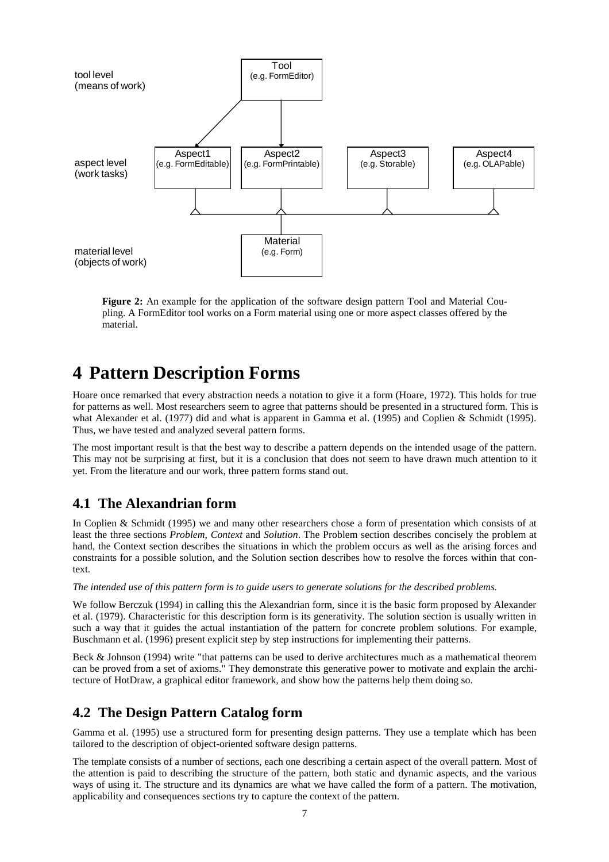

**Figure 2:** An example for the application of the software design pattern Tool and Material Coupling. A FormEditor tool works on a Form material using one or more aspect classes offered by the material.

### **4 Pattern Description Forms**

Hoare once remarked that every abstraction needs a notation to give it a form (Hoare, 1972). This holds for true for patterns as well. Most researchers seem to agree that patterns should be presented in a structured form. This is what Alexander et al. (1977) did and what is apparent in Gamma et al. (1995) and Coplien & Schmidt (1995). Thus, we have tested and analyzed several pattern forms.

The most important result is that the best way to describe a pattern depends on the intended usage of the pattern. This may not be surprising at first, but it is a conclusion that does not seem to have drawn much attention to it yet. From the literature and our work, three pattern forms stand out.

### **4.1 The Alexandrian form**

In Coplien & Schmidt (1995) we and many other researchers chose a form of presentation which consists of at least the three sections *Problem*, *Context* and *Solution*. The Problem section describes concisely the problem at hand, the Context section describes the situations in which the problem occurs as well as the arising forces and constraints for a possible solution, and the Solution section describes how to resolve the forces within that context.

*The intended use of this pattern form is to guide users to generate solutions for the described problems.*

We follow Berczuk (1994) in calling this the Alexandrian form, since it is the basic form proposed by Alexander et al. (1979). Characteristic for this description form is its generativity. The solution section is usually written in such a way that it guides the actual instantiation of the pattern for concrete problem solutions. For example, Buschmann et al. (1996) present explicit step by step instructions for implementing their patterns.

Beck & Johnson (1994) write "that patterns can be used to derive architectures much as a mathematical theorem can be proved from a set of axioms." They demonstrate this generative power to motivate and explain the architecture of HotDraw, a graphical editor framework, and show how the patterns help them doing so.

### **4.2 The Design Pattern Catalog form**

Gamma et al. (1995) use a structured form for presenting design patterns. They use a template which has been tailored to the description of object-oriented software design patterns.

The template consists of a number of sections, each one describing a certain aspect of the overall pattern. Most of the attention is paid to describing the structure of the pattern, both static and dynamic aspects, and the various ways of using it. The structure and its dynamics are what we have called the form of a pattern. The motivation, applicability and consequences sections try to capture the context of the pattern.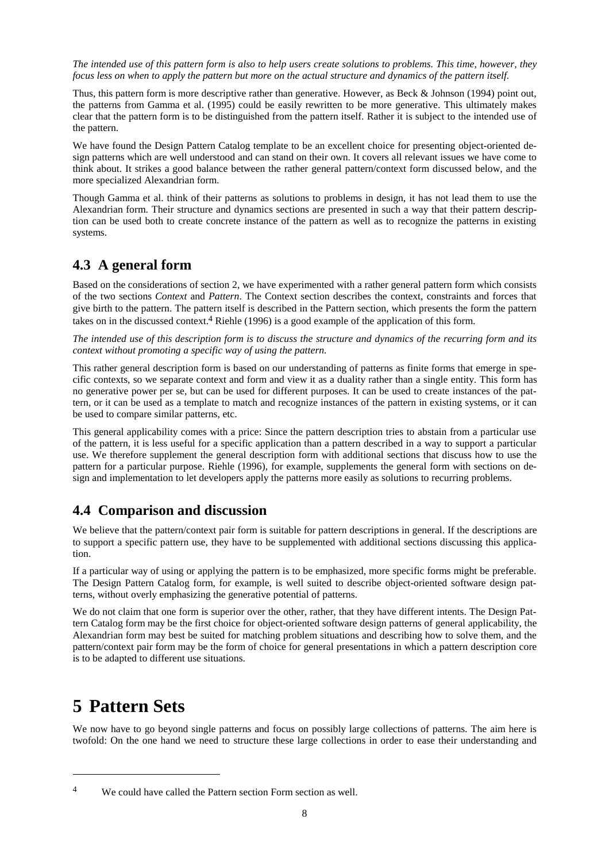*The intended use of this pattern form is also to help users create solutions to problems. This time, however, they focus less on when to apply the pattern but more on the actual structure and dynamics of the pattern itself.*

Thus, this pattern form is more descriptive rather than generative. However, as Beck & Johnson (1994) point out, the patterns from Gamma et al. (1995) could be easily rewritten to be more generative. This ultimately makes clear that the pattern form is to be distinguished from the pattern itself. Rather it is subject to the intended use of the pattern.

We have found the Design Pattern Catalog template to be an excellent choice for presenting object-oriented design patterns which are well understood and can stand on their own. It covers all relevant issues we have come to think about. It strikes a good balance between the rather general pattern/context form discussed below, and the more specialized Alexandrian form.

Though Gamma et al. think of their patterns as solutions to problems in design, it has not lead them to use the Alexandrian form. Their structure and dynamics sections are presented in such a way that their pattern description can be used both to create concrete instance of the pattern as well as to recognize the patterns in existing systems.

### **4.3 A general form**

Based on the considerations of section 2, we have experimented with a rather general pattern form which consists of the two sections *Context* and *Pattern*. The Context section describes the context, constraints and forces that give birth to the pattern. The pattern itself is described in the Pattern section, which presents the form the pattern takes on in the discussed context.4 Riehle (1996) is a good example of the application of this form.

*The intended use of this description form is to discuss the structure and dynamics of the recurring form and its context without promoting a specific way of using the pattern.*

This rather general description form is based on our understanding of patterns as finite forms that emerge in specific contexts, so we separate context and form and view it as a duality rather than a single entity. This form has no generative power per se, but can be used for different purposes. It can be used to create instances of the pattern, or it can be used as a template to match and recognize instances of the pattern in existing systems, or it can be used to compare similar patterns, etc.

This general applicability comes with a price: Since the pattern description tries to abstain from a particular use of the pattern, it is less useful for a specific application than a pattern described in a way to support a particular use. We therefore supplement the general description form with additional sections that discuss how to use the pattern for a particular purpose. Riehle (1996), for example, supplements the general form with sections on design and implementation to let developers apply the patterns more easily as solutions to recurring problems.

### **4.4 Comparison and discussion**

We believe that the pattern/context pair form is suitable for pattern descriptions in general. If the descriptions are to support a specific pattern use, they have to be supplemented with additional sections discussing this application.

If a particular way of using or applying the pattern is to be emphasized, more specific forms might be preferable. The Design Pattern Catalog form, for example, is well suited to describe object-oriented software design patterns, without overly emphasizing the generative potential of patterns.

We do not claim that one form is superior over the other, rather, that they have different intents. The Design Pattern Catalog form may be the first choice for object-oriented software design patterns of general applicability, the Alexandrian form may best be suited for matching problem situations and describing how to solve them, and the pattern/context pair form may be the form of choice for general presentations in which a pattern description core is to be adapted to different use situations.

### **5 Pattern Sets**

 $\overline{a}$ 

We now have to go beyond single patterns and focus on possibly large collections of patterns. The aim here is twofold: On the one hand we need to structure these large collections in order to ease their understanding and

<sup>4</sup> We could have called the Pattern section Form section as well.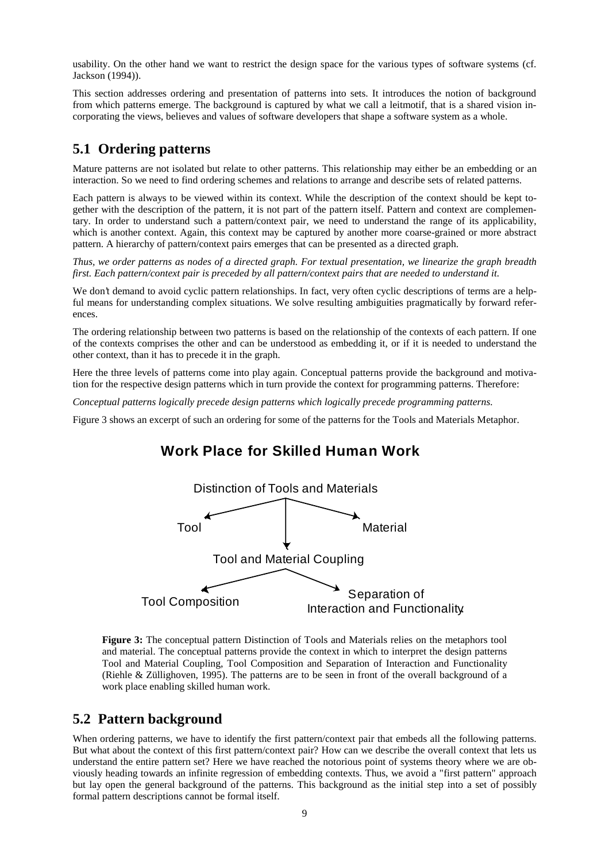usability. On the other hand we want to restrict the design space for the various types of software systems (cf. Jackson (1994)).

This section addresses ordering and presentation of patterns into sets. It introduces the notion of background from which patterns emerge. The background is captured by what we call a leitmotif, that is a shared vision incorporating the views, believes and values of software developers that shape a software system as a whole.

#### **5.1 Ordering patterns**

Mature patterns are not isolated but relate to other patterns. This relationship may either be an embedding or an interaction. So we need to find ordering schemes and relations to arrange and describe sets of related patterns.

Each pattern is always to be viewed within its context. While the description of the context should be kept together with the description of the pattern, it is not part of the pattern itself. Pattern and context are complementary. In order to understand such a pattern/context pair, we need to understand the range of its applicability, which is another context. Again, this context may be captured by another more coarse-grained or more abstract pattern. A hierarchy of pattern/context pairs emerges that can be presented as a directed graph.

*Thus, we order patterns as nodes of a directed graph. For textual presentation, we linearize the graph breadth first. Each pattern/context pair is preceded by all pattern/context pairs that are needed to understand it.*

We don't demand to avoid cyclic pattern relationships. In fact, very often cyclic descriptions of terms are a helpful means for understanding complex situations. We solve resulting ambiguities pragmatically by forward references.

The ordering relationship between two patterns is based on the relationship of the contexts of each pattern. If one of the contexts comprises the other and can be understood as embedding it, or if it is needed to understand the other context, than it has to precede it in the graph.

Here the three levels of patterns come into play again. Conceptual patterns provide the background and motivation for the respective design patterns which in turn provide the context for programming patterns. Therefore:

*Conceptual patterns logically precede design patterns which logically precede programming patterns.*

Figure 3 shows an excerpt of such an ordering for some of the patterns for the Tools and Materials Metaphor.

### **Work Place for Skilled Human Work**



**Figure 3:** The conceptual pattern Distinction of Tools and Materials relies on the metaphors tool and material. The conceptual patterns provide the context in which to interpret the design patterns Tool and Material Coupling, Tool Composition and Separation of Interaction and Functionality (Riehle & Züllighoven, 1995). The patterns are to be seen in front of the overall background of a work place enabling skilled human work.

#### **5.2 Pattern background**

When ordering patterns, we have to identify the first pattern/context pair that embeds all the following patterns. But what about the context of this first pattern/context pair? How can we describe the overall context that lets us understand the entire pattern set? Here we have reached the notorious point of systems theory where we are obviously heading towards an infinite regression of embedding contexts. Thus, we avoid a "first pattern" approach but lay open the general background of the patterns. This background as the initial step into a set of possibly formal pattern descriptions cannot be formal itself.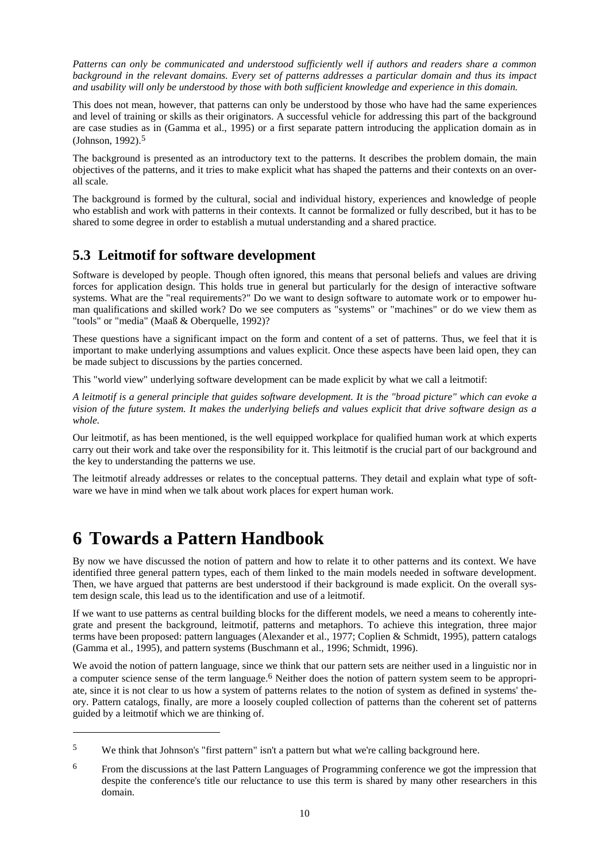*Patterns can only be communicated and understood sufficiently well if authors and readers share a common background in the relevant domains. Every set of patterns addresses a particular domain and thus its impact and usability will only be understood by those with both sufficient knowledge and experience in this domain.*

This does not mean, however, that patterns can only be understood by those who have had the same experiences and level of training or skills as their originators. A successful vehicle for addressing this part of the background are case studies as in (Gamma et al., 1995) or a first separate pattern introducing the application domain as in (Johnson, 1992).5

The background is presented as an introductory text to the patterns. It describes the problem domain, the main objectives of the patterns, and it tries to make explicit what has shaped the patterns and their contexts on an overall scale.

The background is formed by the cultural, social and individual history, experiences and knowledge of people who establish and work with patterns in their contexts. It cannot be formalized or fully described, but it has to be shared to some degree in order to establish a mutual understanding and a shared practice.

#### **5.3 Leitmotif for software development**

Software is developed by people. Though often ignored, this means that personal beliefs and values are driving forces for application design. This holds true in general but particularly for the design of interactive software systems. What are the "real requirements?" Do we want to design software to automate work or to empower human qualifications and skilled work? Do we see computers as "systems" or "machines" or do we view them as "tools" or "media" (Maaß & Oberquelle, 1992)?

These questions have a significant impact on the form and content of a set of patterns. Thus, we feel that it is important to make underlying assumptions and values explicit. Once these aspects have been laid open, they can be made subject to discussions by the parties concerned.

This "world view" underlying software development can be made explicit by what we call a leitmotif:

*A leitmotif is a general principle that guides software development. It is the "broad picture" which can evoke a vision of the future system. It makes the underlying beliefs and values explicit that drive software design as a whole.*

Our leitmotif, as has been mentioned, is the well equipped workplace for qualified human work at which experts carry out their work and take over the responsibility for it. This leitmotif is the crucial part of our background and the key to understanding the patterns we use.

The leitmotif already addresses or relates to the conceptual patterns. They detail and explain what type of software we have in mind when we talk about work places for expert human work.

## **6 Towards a Pattern Handbook**

 $\overline{a}$ 

By now we have discussed the notion of pattern and how to relate it to other patterns and its context. We have identified three general pattern types, each of them linked to the main models needed in software development. Then, we have argued that patterns are best understood if their background is made explicit. On the overall system design scale, this lead us to the identification and use of a leitmotif.

If we want to use patterns as central building blocks for the different models, we need a means to coherently integrate and present the background, leitmotif, patterns and metaphors. To achieve this integration, three major terms have been proposed: pattern languages (Alexander et al., 1977; Coplien & Schmidt, 1995), pattern catalogs (Gamma et al., 1995), and pattern systems (Buschmann et al., 1996; Schmidt, 1996).

We avoid the notion of pattern language, since we think that our pattern sets are neither used in a linguistic nor in a computer science sense of the term language.<sup>6</sup> Neither does the notion of pattern system seem to be appropriate, since it is not clear to us how a system of patterns relates to the notion of system as defined in systems' theory. Pattern catalogs, finally, are more a loosely coupled collection of patterns than the coherent set of patterns guided by a leitmotif which we are thinking of.

<sup>&</sup>lt;sup>5</sup> We think that Johnson's "first pattern" isn't a pattern but what we're calling background here.

<sup>6</sup> From the discussions at the last Pattern Languages of Programming conference we got the impression that despite the conference's title our reluctance to use this term is shared by many other researchers in this domain.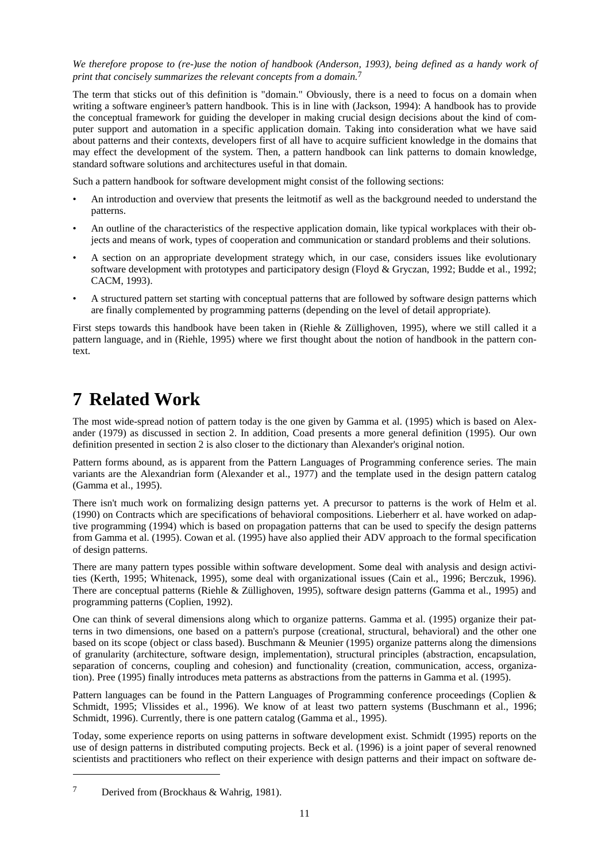#### *We therefore propose to (re-)use the notion of handbook (Anderson, 1993), being defined as a handy work of print that concisely summarizes the relevant concepts from a domain.*7

The term that sticks out of this definition is "domain." Obviously, there is a need to focus on a domain when writing a software engineer's pattern handbook. This is in line with (Jackson, 1994): A handbook has to provide the conceptual framework for guiding the developer in making crucial design decisions about the kind of computer support and automation in a specific application domain. Taking into consideration what we have said about patterns and their contexts, developers first of all have to acquire sufficient knowledge in the domains that may effect the development of the system. Then, a pattern handbook can link patterns to domain knowledge, standard software solutions and architectures useful in that domain.

Such a pattern handbook for software development might consist of the following sections:

- An introduction and overview that presents the leitmotif as well as the background needed to understand the patterns.
- An outline of the characteristics of the respective application domain, like typical workplaces with their objects and means of work, types of cooperation and communication or standard problems and their solutions.
- A section on an appropriate development strategy which, in our case, considers issues like evolutionary software development with prototypes and participatory design (Floyd & Gryczan, 1992; Budde et al., 1992; CACM, 1993).
- A structured pattern set starting with conceptual patterns that are followed by software design patterns which are finally complemented by programming patterns (depending on the level of detail appropriate).

First steps towards this handbook have been taken in (Riehle & Züllighoven, 1995), where we still called it a pattern language, and in (Riehle, 1995) where we first thought about the notion of handbook in the pattern context.

## **7 Related Work**

The most wide-spread notion of pattern today is the one given by Gamma et al. (1995) which is based on Alexander (1979) as discussed in section 2. In addition, Coad presents a more general definition (1995). Our own definition presented in section 2 is also closer to the dictionary than Alexander's original notion.

Pattern forms abound, as is apparent from the Pattern Languages of Programming conference series. The main variants are the Alexandrian form (Alexander et al., 1977) and the template used in the design pattern catalog (Gamma et al., 1995).

There isn't much work on formalizing design patterns yet. A precursor to patterns is the work of Helm et al. (1990) on Contracts which are specifications of behavioral compositions. Lieberherr et al. have worked on adaptive programming (1994) which is based on propagation patterns that can be used to specify the design patterns from Gamma et al. (1995). Cowan et al. (1995) have also applied their ADV approach to the formal specification of design patterns.

There are many pattern types possible within software development. Some deal with analysis and design activities (Kerth, 1995; Whitenack, 1995), some deal with organizational issues (Cain et al., 1996; Berczuk, 1996). There are conceptual patterns (Riehle & Züllighoven, 1995), software design patterns (Gamma et al., 1995) and programming patterns (Coplien, 1992).

One can think of several dimensions along which to organize patterns. Gamma et al. (1995) organize their patterns in two dimensions, one based on a pattern's purpose (creational, structural, behavioral) and the other one based on its scope (object or class based). Buschmann & Meunier (1995) organize patterns along the dimensions of granularity (architecture, software design, implementation), structural principles (abstraction, encapsulation, separation of concerns, coupling and cohesion) and functionality (creation, communication, access, organization). Pree (1995) finally introduces meta patterns as abstractions from the patterns in Gamma et al. (1995).

Pattern languages can be found in the Pattern Languages of Programming conference proceedings (Coplien & Schmidt, 1995; Vlissides et al., 1996). We know of at least two pattern systems (Buschmann et al., 1996; Schmidt, 1996). Currently, there is one pattern catalog (Gamma et al., 1995).

Today, some experience reports on using patterns in software development exist. Schmidt (1995) reports on the use of design patterns in distributed computing projects. Beck et al. (1996) is a joint paper of several renowned scientists and practitioners who reflect on their experience with design patterns and their impact on software de-

j

<sup>7</sup> Derived from (Brockhaus & Wahrig, 1981).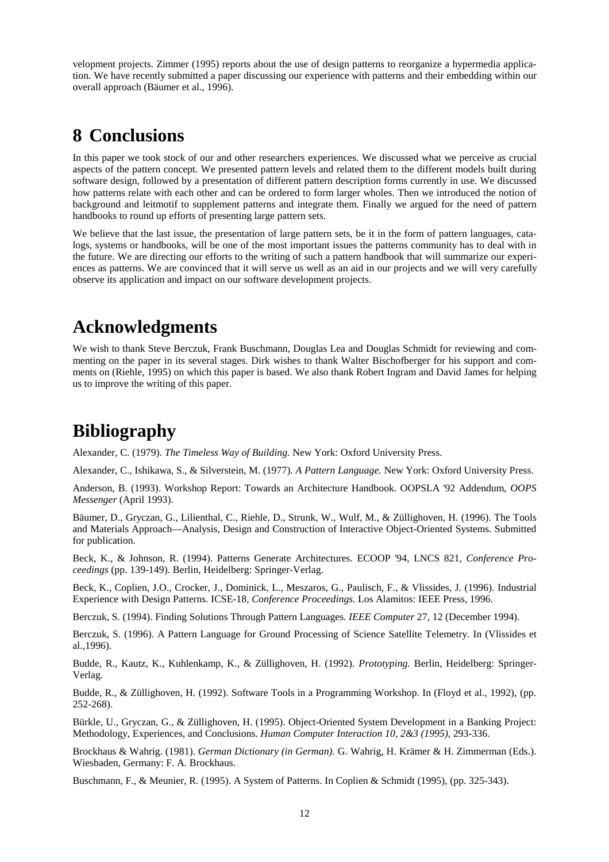velopment projects. Zimmer (1995) reports about the use of design patterns to reorganize a hypermedia application. We have recently submitted a paper discussing our experience with patterns and their embedding within our overall approach (Bäumer et al., 1996).

### **8 Conclusions**

In this paper we took stock of our and other researchers experiences. We discussed what we perceive as crucial aspects of the pattern concept. We presented pattern levels and related them to the different models built during software design, followed by a presentation of different pattern description forms currently in use. We discussed how patterns relate with each other and can be ordered to form larger wholes. Then we introduced the notion of background and leitmotif to supplement patterns and integrate them. Finally we argued for the need of pattern handbooks to round up efforts of presenting large pattern sets.

We believe that the last issue, the presentation of large pattern sets, be it in the form of pattern languages, catalogs, systems or handbooks, will be one of the most important issues the patterns community has to deal with in the future. We are directing our efforts to the writing of such a pattern handbook that will summarize our experiences as patterns. We are convinced that it will serve us well as an aid in our projects and we will very carefully observe its application and impact on our software development projects.

### **Acknowledgments**

We wish to thank Steve Berczuk, Frank Buschmann, Douglas Lea and Douglas Schmidt for reviewing and commenting on the paper in its several stages. Dirk wishes to thank Walter Bischofberger for his support and comments on (Riehle, 1995) on which this paper is based. We also thank Robert Ingram and David James for helping us to improve the writing of this paper.

## **Bibliography**

Alexander, C. (1979). *The Timeless Way of Building.* New York: Oxford University Press.

Alexander, C., Ishikawa, S., & Silverstein, M. (1977). *A Pattern Language.* New York: Oxford University Press.

Anderson, B. (1993). Workshop Report: Towards an Architecture Handbook. OOPSLA '92 Addendum, *OOPS Messenger* (April 1993).

Bäumer, D., Gryczan, G., Lilienthal, C., Riehle, D., Strunk, W., Wulf, M., & Züllighoven, H. (1996). The Tools and Materials Approach—Analysis, Design and Construction of Interactive Object-Oriented Systems. Submitted for publication.

Beck, K., & Johnson, R. (1994). Patterns Generate Architectures. ECOOP '94, LNCS 821, *Conference Proceedings* (pp. 139-149)*.* Berlin, Heidelberg: Springer-Verlag.

Beck, K., Coplien, J.O., Crocker, J., Dominick, L., Meszaros, G., Paulisch, F., & Vlissides, J. (1996). Industrial Experience with Design Patterns. ICSE-18, *Conference Proceedings*. Los Alamitos: IEEE Press, 1996.

Berczuk, S. (1994). Finding Solutions Through Pattern Languages. *IEEE Computer* 27, 12 (December 1994).

Berczuk, S. (1996). A Pattern Language for Ground Processing of Science Satellite Telemetry. In (Vlissides et al.,1996).

Budde, R., Kautz, K., Kuhlenkamp, K., & Züllighoven, H. (1992). *Prototyping.* Berlin, Heidelberg: Springer-Verlag.

Budde, R., & Züllighoven, H. (1992). Software Tools in a Programming Workshop. In (Floyd et al., 1992), (pp. 252-268).

Bürkle, U., Gryczan, G., & Züllighoven, H. (1995). Object-Oriented System Development in a Banking Project: Methodology, Experiences, and Conclusions. *Human Computer Interaction 10, 2&3 (1995),* 293-336.

Brockhaus & Wahrig. (1981). *German Dictionary (in German).* G. Wahrig, H. Krämer & H. Zimmerman (Eds.). Wiesbaden, Germany: F. A. Brockhaus.

Buschmann, F., & Meunier, R. (1995). A System of Patterns. In Coplien & Schmidt (1995), (pp. 325-343).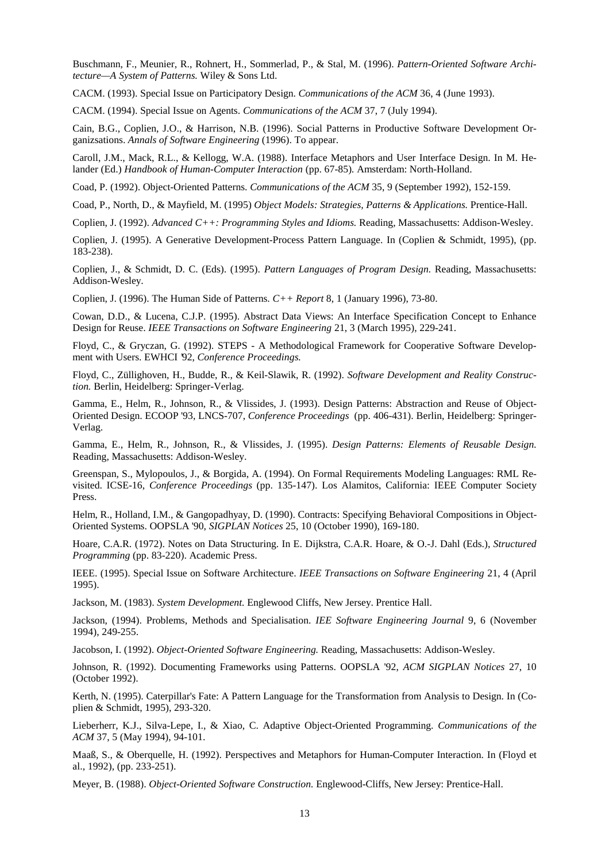Buschmann, F., Meunier, R., Rohnert, H., Sommerlad, P., & Stal, M. (1996). *Pattern-Oriented Software Architecture—A System of Patterns.* Wiley & Sons Ltd.

CACM. (1993). Special Issue on Participatory Design. *Communications of the ACM* 36, 4 (June 1993).

CACM. (1994). Special Issue on Agents. *Communications of the ACM* 37, 7 (July 1994).

Cain, B.G., Coplien, J.O., & Harrison, N.B. (1996). Social Patterns in Productive Software Development Organizsations. *Annals of Software Engineering* (1996). To appear.

Caroll, J.M., Mack, R.L., & Kellogg, W.A. (1988). Interface Metaphors and User Interface Design. In M. Helander (Ed.) *Handbook of Human-Computer Interaction* (pp. 67-85)*.* Amsterdam: North-Holland.

Coad, P. (1992). Object-Oriented Patterns. *Communications of the ACM* 35, 9 (September 1992), 152-159.

Coad, P., North, D., & Mayfield, M. (1995) *Object Models: Strategies, Patterns & Applications.* Prentice-Hall.

Coplien, J. (1992). *Advanced C++: Programming Styles and Idioms.* Reading, Massachusetts: Addison-Wesley.

Coplien, J. (1995). A Generative Development-Process Pattern Language. In (Coplien & Schmidt, 1995), (pp. 183-238).

Coplien, J., & Schmidt, D. C. (Eds). (1995). *Pattern Languages of Program Design.* Reading, Massachusetts: Addison-Wesley.

Coplien, J. (1996). The Human Side of Patterns. *C++ Report* 8, 1 (January 1996), 73-80.

Cowan, D.D., & Lucena, C.J.P. (1995). Abstract Data Views: An Interface Specification Concept to Enhance Design for Reuse. *IEEE Transactions on Software Engineering* 21, 3 (March 1995), 229-241.

Floyd, C., & Gryczan, G. (1992). STEPS - A Methodological Framework for Cooperative Software Development with Users. EWHCI '92, *Conference Proceedings.*

Floyd, C., Züllighoven, H., Budde, R., & Keil-Slawik, R. (1992). *Software Development and Reality Construction.* Berlin, Heidelberg: Springer-Verlag.

Gamma, E., Helm, R., Johnson, R., & Vlissides, J. (1993). Design Patterns: Abstraction and Reuse of Object-Oriented Design. ECOOP '93, LNCS-707, *Conference Proceedings* (pp. 406-431). Berlin, Heidelberg: Springer-Verlag.

Gamma, E., Helm, R., Johnson, R., & Vlissides, J. (1995). *Design Patterns: Elements of Reusable Design.* Reading, Massachusetts: Addison-Wesley.

Greenspan, S., Mylopoulos, J., & Borgida, A. (1994). On Formal Requirements Modeling Languages: RML Revisited. ICSE-16, *Conference Proceedings* (pp. 135-147). Los Alamitos, California: IEEE Computer Society Press.

Helm, R., Holland, I.M., & Gangopadhyay, D. (1990). Contracts: Specifying Behavioral Compositions in Object-Oriented Systems. OOPSLA '90, *SIGPLAN Notices* 25, 10 (October 1990), 169-180.

Hoare, C.A.R. (1972). Notes on Data Structuring. In E. Dijkstra, C.A.R. Hoare, & O.-J. Dahl (Eds.), *Structured Programming* (pp. 83-220). Academic Press.

IEEE. (1995). Special Issue on Software Architecture. *IEEE Transactions on Software Engineering* 21, 4 (April 1995).

Jackson, M. (1983). *System Development.* Englewood Cliffs, New Jersey. Prentice Hall.

Jackson, (1994). Problems, Methods and Specialisation. *IEE Software Engineering Journal* 9, 6 (November 1994), 249-255.

Jacobson, I. (1992). *Object-Oriented Software Engineering.* Reading, Massachusetts: Addison-Wesley.

Johnson, R. (1992). Documenting Frameworks using Patterns. OOPSLA '92, *ACM SIGPLAN Notices* 27, 10 (October 1992).

Kerth, N. (1995). Caterpillar's Fate: A Pattern Language for the Transformation from Analysis to Design. In (Coplien & Schmidt, 1995), 293-320.

Lieberherr, K.J., Silva-Lepe, I., & Xiao, C. Adaptive Object-Oriented Programming. *Communications of the ACM* 37, 5 (May 1994), 94-101.

Maaß, S., & Oberquelle, H. (1992). Perspectives and Metaphors for Human-Computer Interaction. In (Floyd et al., 1992), (pp. 233-251).

Meyer, B. (1988). *Object-Oriented Software Construction.* Englewood-Cliffs, New Jersey: Prentice-Hall.